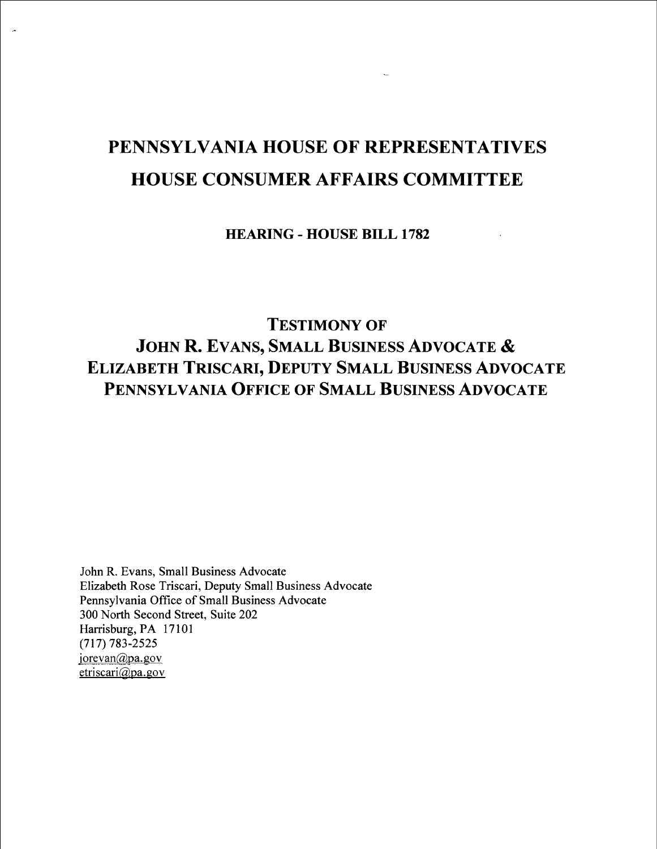# PENNSYLVANIA HOUSE OF REPRESENTATIVES HOUSE CONSUMER AFFAIRS COMMITTEE

HEARING - HOUSE BILL 1782

TESTIMONY OF JOHN R. EVANS, SMALL BUSINESS ADVOCATE & ELIZABETH TRISCARI, DEPUTY SMALL BUSINESS ADVOCATE PENNSYLVANIA OFFICE OF SMALL BUSINESS ADVOCATE

John R. Evans, Small Business Advocate Elizabeth Rose Triscari, Deputy Small Business Advocate Pennsylvania Office of Small Business Advocate 300 North Second Street, Suite 202 Harrisburg, PA 17101 (7] 7) 783-2525 jorevan $\omega$ pa.gov etriscari@pa.gov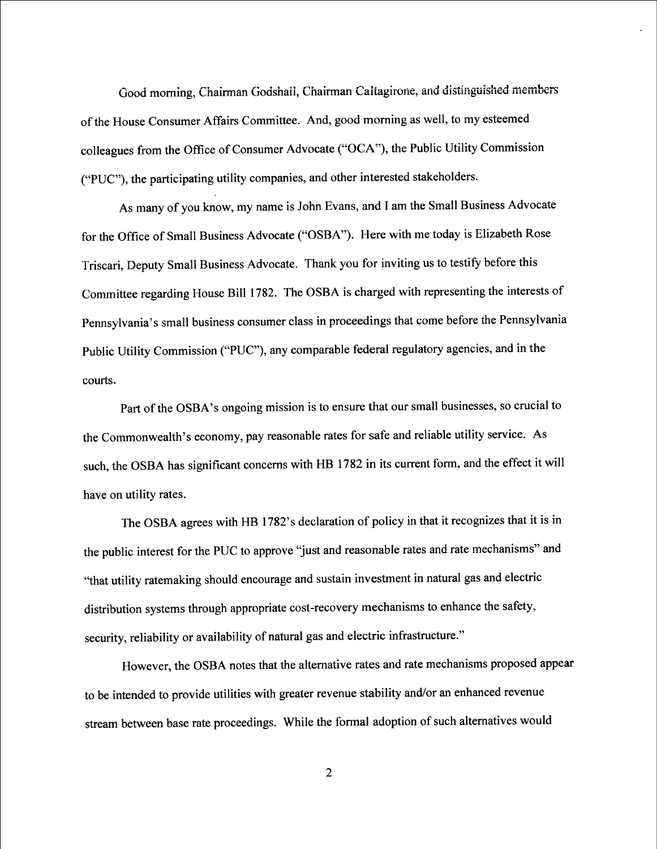Good morning, Chairman Godshall, Chairman Caltagirone, and distinguished members of the House Consumer Affairs Committee. And, good moming as well, to my esteemed colleagues from the Office of Consumer Advocate ("OCA"), the Public Utility Commission ("PUC"), the participating utility companies, and other interested stakeholders.

As many of you know, my name is John Evans, and I am the Small Business Advocate for the Office of Small Business Advocate ("OSBA"). Here with me today is Elizabeth Rose Triscari, Deputy Small Business Advocate. Thank you for inviting us to testify before this Committee regarding House Bill 1782. The OSBA is charged with representing the interests of Pennsylvania's small business consumer class in proceedings that come before the Pennsylvania Public Utility Commission ("PUC"), any comparable federal regulatory agencies, and in the courts

Part of the OSBA's ongoing mission is to ensure that our small businesses, so crucial to the Commonwealth's economy, pay reasonable rates for safe and reliable utility service. As such, the OSBA has significant concerns with HB 1782 in its current form, and the effect it will have on utility rates.

The OSBA agrees with HB 1782's declaration of policy in that it recognizes that it is in the public interest for the PUC to approve "just and reasonable rates and rate mechanisms" and "that utility ratemaking should encourage and sustain investment in natural gas and electric distribution systems through appropriate cost-recovery mechanisms to enhance the safety, security, reliability or availability of natural gas and electric infrastructure."

However, the OSBA notes that the alternative rates and rate mechanisms proposed appear to be intended to provide utilities with greater revenue stability and/or an enhanced revenue stream between base rate proceedings. While the formal adoption of such alternatives would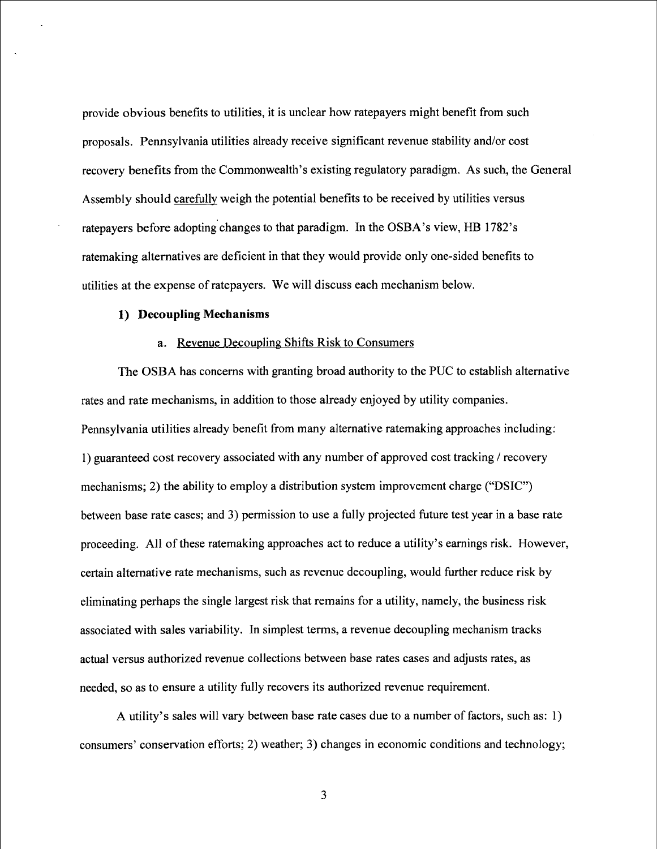provide obvious benefits to utilities, it is unclear how ratepayers might benefit from such proposals. Pennsylvania utilities already receive significant revenue stability and/or cost recovery benefits from the Commonwealth's existing regulatory paradigm. As such, the General Assembly should carefully weigh the potential benefits to be received by utilities versus ratepayers before adopting changes to that paradigm. In the OSBA's view, HB 1782's ratemaking alternatives are deficient in that they would provide only one-sided benefits to utilities at the expense of ratepayers. We will discuss each mechanism below.

#### 1) Decoupling Mechanisms

#### a. Revenue Decoupling Shifts Risk to Consumers

The OSBA has concerns with granting broad authority to the PUC to establish alternative rates and rate mechanisms, in addition to those already enjoyed by utility companies. Pennsylvania utilities already benefit from many alternative ratemaking approaches including: 1 ) guaranteed cost recovery associated with any number of approved cost tracking / recovery mechanisms; 2) the ability to employ a distribution system improvement charge ("DSIC") between base rate cases; and 3) permission to use a fully projected future test year in a base rate proceeding. All of these ratemaking approaches act to reduce a utility's eamings risk. However, certain altemative rate mechanisms, such as revenue decoupling, would further reduce risk by eliminating perhaps the single largest risk that remains for a utility, namely, the business risk associated with sales variability. In simplest terms, a revenue decoupling mechanism tracks actual versus authorized revenue collections between base rates cases and adjusts rates, as needed, so as to ensure a utility fully recovers its authorized revenue requirement.

A utility's sales will vary between base rate cases due to a number of factors, such as: I) consumers' conservation efforts; 2) weather; 3) changes in economic conditions and technology;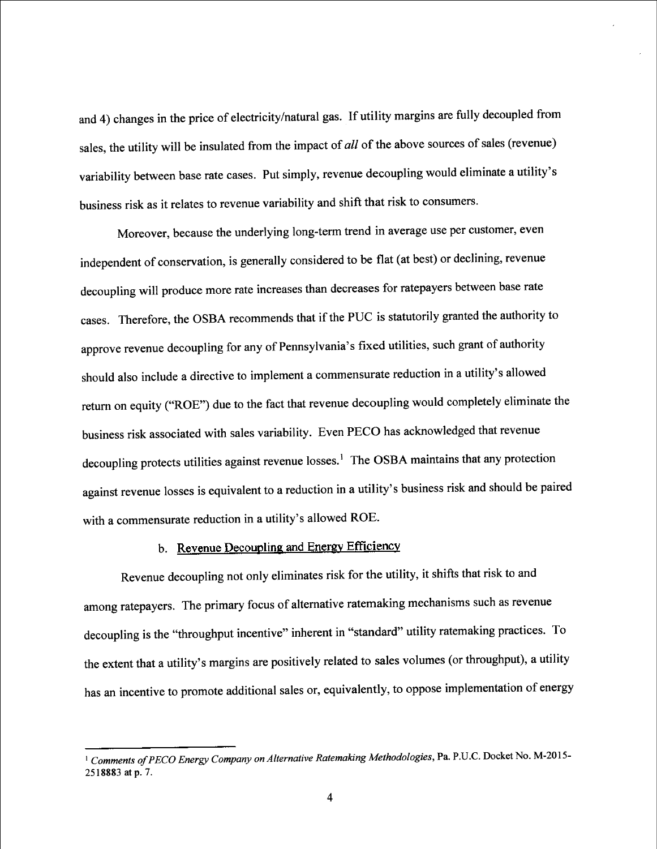and 4) changes in the price of electricity/natural gas. If utility margins are fully decoupled from sales, the utility will be insulated from the impact of *all* of the above sources of sales (revenue) variability between base rate cases. Put simply, revenue decoupling would eliminate a utility's business risk as it relates to revenue variability and shift that risk to consumers.

Moreover, because the underlying long-term trend in average use per customer, even independent of conservation, is generally considered to be flat (at best) or declining, revenue decoupling will produce more rate increases than decreases for ratepayers between base rate cases. Therefore, the OSBA recommends that if the PUC is statutorily granted the authority to approve revenue decoupling for any of Pennsylvania's fixed utilities, such grant of authority should also include a directive to implement a commensurate reduction in a utility's allowed return on equity ("ROE") due to the fact that revenue decoupling would completely eliminate the business risk associated with sales variability. Even PECO has acknowledged that revenue decoupling protects utilities against revenue losses.<sup>1</sup> The OSBA maintains that any protection against revenue losses is equivalent to a reduction in a utility's business risk and should be paired with a commensurate reduction in a utility's allowed ROE.

## b. Revenue Decoupling and Energy Efficiency

Revenue decoupling not only eliminates risk for the utility, it shifts that risk to and among ratepayers. The primary focus of altemative mtemaking mechanisms such as revenue decoupling is the "throughput incentive" inherent in "standard" utility ratemaking practices. To the extent that a utility's margins are positively related to sales volumes (or throughput), a utility has an incentive to promote additional sales or, equivalently, to oppose implementation of energy

<sup>&</sup>lt;sup>1</sup> Comments of PECO Energy Company on Alternative Ratemaking Methodologies, Pa. P.U.C. Docket No. M-2015-2518883 at p. 7.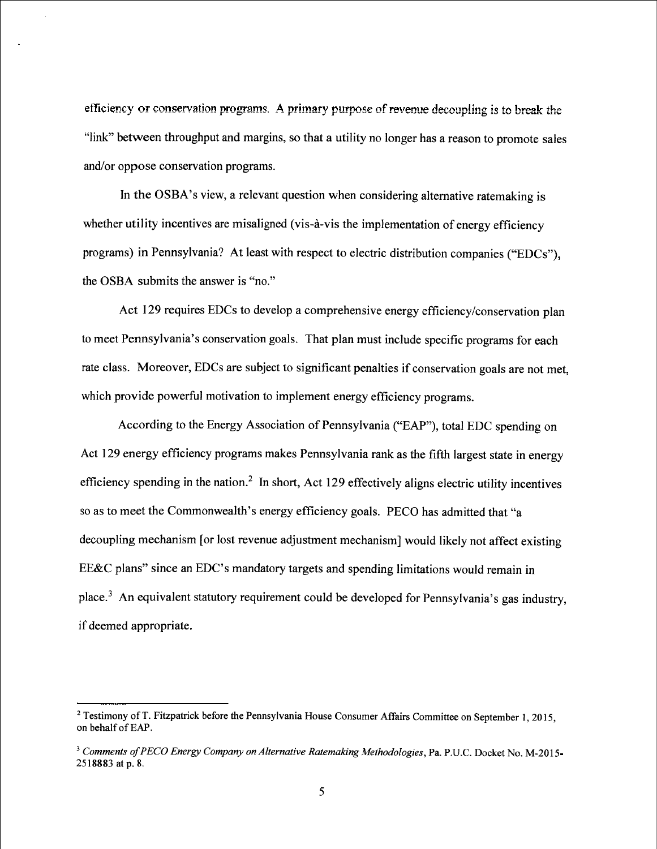efficiency or conservation programs. A primary purpose of revenue decoupling is to break the "link" between throughput and margins, so that a utility no longer has a reason to promote sales and/or oppose conservation programs.

In the OSBA's view, a relevant question when considering alternative ratemaking is whether utility incentives are misaligned (vis-à-vis the implementation of energy efficiency programs) in Pennsylvania? At least with respect to electric distribution companies ("EDCs"), the OSBA submits the answer is "no."

Act 129 requires EDCs to develop a comprehensive energy efficiency/conservation plan to meet Pennsylvania's conservation goals. That plan must include specific programs for each rate class. Moreover, EDCs are subject to significant penalties if conservation goals are not met, which provide powerful motivation to implement energy efficiency programs.

According to the Energy Association of Pennsylvania ("EAP"), total EDC spending on Act 129 energy efficiency programs makes Pennsylvania rank as the fifth largest state in energy efficiency spending in the nation.<sup>2</sup> In short, Act 129 effectively aligns electric utility incentives so as to meet the Commonwealth's energy efficiency goals. PECO has admitted that "a decoupling mechanism [or lost revenue adjustment mechanism] would likely not affect existing EE&C plans" since an EDC's mandatory targets and spending limitations would remain in place.3 An equivalent statutory requirement could be developed for Pennsylvania's gas industry, if deemed appropriate.

<sup>&</sup>lt;sup>2</sup> Testimony of T. Fitzpatrick before the Pennsylvania House Consumer Affairs Committee on September 1, 2015, on behalf of EAP.

<sup>&</sup>lt;sup>3</sup> Comments of PECO Energy Company on Alternative Ratemaking Methodologies, Pa. P.U.C. Docket No. M-2015-2518883 at p. 8.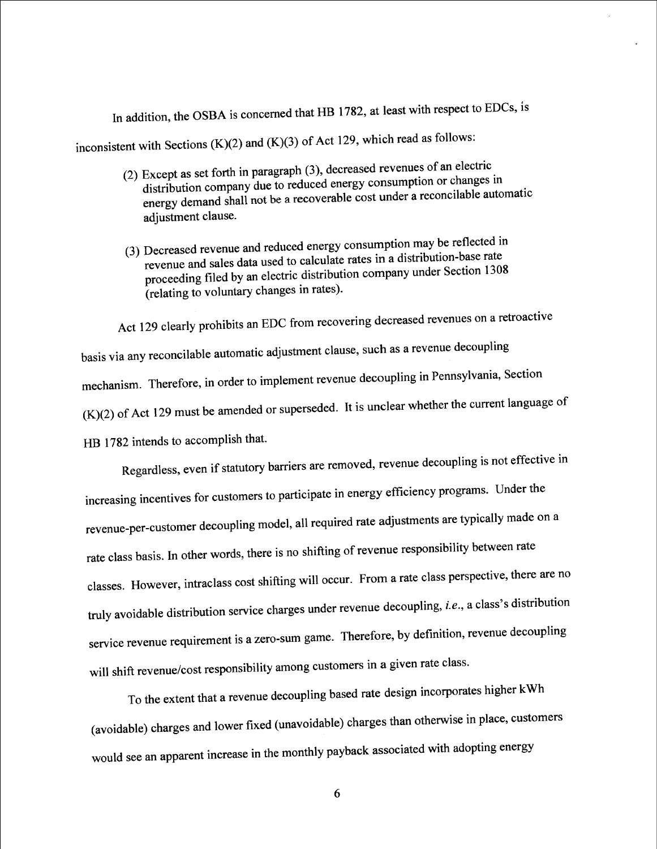In addition, the OSBA is concerned that HB 1782, at least with respect to EDCs, is

inconsistent with Sections  $(K)(2)$  and  $(K)(3)$  of Act 129, which read as follows:

- 2) Except as set forth in paragraph (3), decreased revenues of an electric<br>distribution company due to reduced energy consumption or changes in<br>energy demand shall not be a recoverable cost under a reconcilable automatic adjustment clause.
- (3) Decreased revenue and reduced energy consumption may be reflected in revenue and sales data used to calculate rates in a distribution-base rate proceeding filed by an electric distribution company under Section 1308 (relating to voluntary changes in rates) .

Act 129 clearly prohibits an EDC from recovering decreased revenues on a retroactive basis via any reconcilable automatic adjustment clause, such as a revenue decoupling mechanism. Therefore, in order to implement revenue decoupling in Pennsylvania, Section  $(K)(2)$  of Act 129 must be amended or superseded. It is unclear whether the current language of HB 1782 intends to accomplish that.

Regardless, even if statutory barriers are removed, revenue decoupling is not effective in increasing incentives for customers to participate in energy efficiency programs. Under the revenue-per-customer decoupling model, all required rate adjustments are typically made on a rate class basis. In other words, there is no shifting of revenue responsibility between rate classes. However, intraclass cost shifting will occur. From a rate class perspective, there are no truly avoidable distribution service charges under revenue decoupling, *i.e.*, a class's distribution service revenue requirement is a zero-sum game. Therefore, by definition, revenue decoupling will shift revenue/cost responsibility among customers in a given rate class.

To the extent that a revenue decoupling based rate design incorporates higher kWh  $(avoidable)$  charges and lower fixed (unavoidable) charges than  $\frac{1}{2}$ would see an apparent increase in the monthly payback associated with  $\mathbb{Z}_p$ ers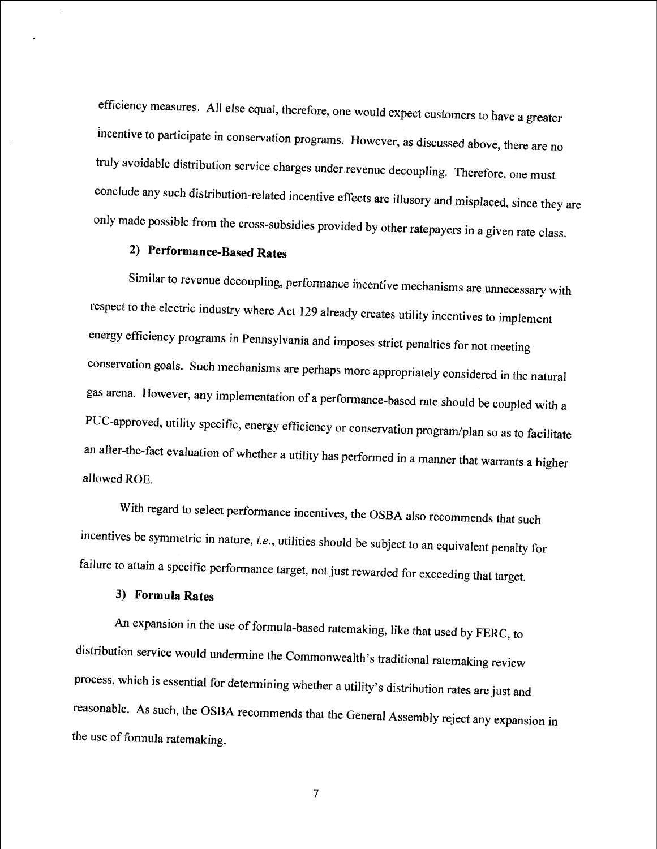efficiency measures. All else equal, therefore, one would expect customers to have a greater incentive to participate in conservation programs. However, as discussed above, there are no truly avoidable distribution service charges under revenue decoupling. Therefore, one must conclude any such distribution-related incentive effects are illusory and misplaced, since they are only made possible from the cross-subsidies provided by other ratepayers in a given rate class.

## 2) Performance-Based Rates

Similar to revenue decoupling, performance incentive mechanisms are unnecessary with respect to the electric industry where Act 129 already creates utility incentives to implement energy efficiency programs in Pennsylvania and imposes strict penalties for not meeting conservation goals. Such mechanisms are perhaps more appropriately considered in the natural gas arena. However, any implementation of a performance-based rate should be coupled with a PUC-approved, utility specific, energy efficiency or conservation program/plan so as to facilitate an after-the-fact evaluation of whether a utility has performed in a manner that warrants a higher allowed ROE.

With regard to select performance incentives, the OSBA also recommends that such incentives be symmetric in nature, *i.e.*, utilities should be subject to an equivalent penalty for failure to attain a specific performance target, not just rewarded for exceeding that target.

### 3) Formula Rates

An expansion in the use of formula-based ratemaking, like that used by FERC, to distribution service would undermine the Commonwealth's traditional ratemaking review process, which is essential for determining whether a utility's distribution rates are just and reasonable. As such, the OSBA recommends that the General Assembly reject any expansion in the use of formula ratemak ing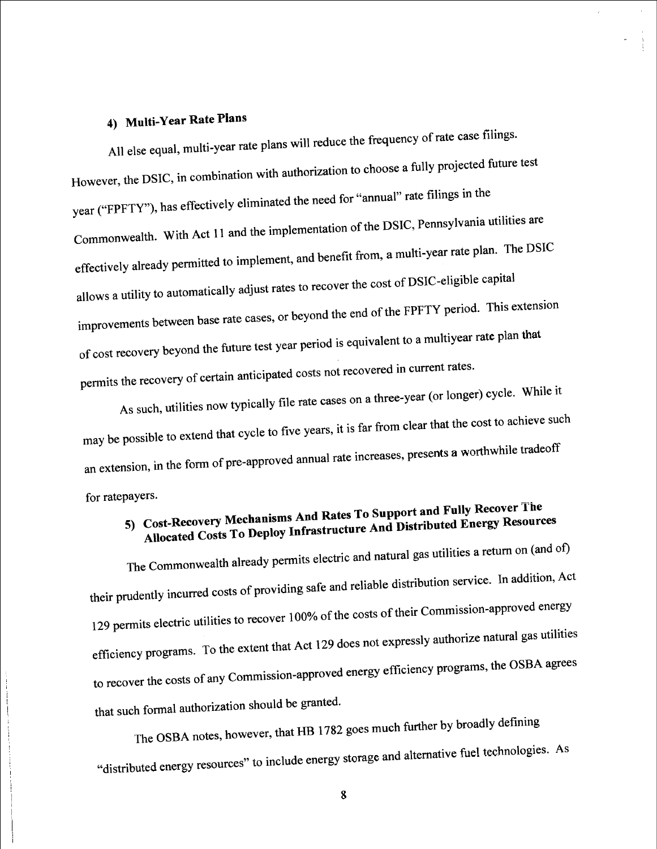# 4) Multi-Year Rate Plans

All else equal, multi-year rate plans will reduce the frequency of rate case filings. However, the DSIC, in combination with authorization to choose a fully projected future test year ("FPFTY"), has effectively eliminated the need for "annual" rate filings in the<br>Commonwealth. With Act 11 and the implementation of the DSIC, Pennsylvania utilities are  $\alpha$  1 and the implementation of the implementation of the DSIC,  $\beta$  $effectively already permuted to implexments, and the output is  $\frac{1}{\sqrt{2}}$$ allows a utility to automatically adjust rates to recover the cost of DS]C-eligible capital improvements between base rate cases, or beyond the end of the FPFTY period. This extension  $\sigma$ f cost recovery beyond the future test year period is  $\sigma$ permits the recovery of certain anticipated costs not recovered in current rates. plan

As such, utilities now typically file rate cases on a three-year (or longer) cycle. While it may be possible to extend that cycle to Hive years, necessary presents a worthwhile tradeoff may be possible to extend that cycle to five years, it is far from clear that the cost to achieve such an extension, in the form of pre-approved annual rate increases,  $p_T$ for ratepayers-

Allocated Costs To Deploy Infrastructure And Distributed Energy Resources 5) Cost-Recovery Mechanisms And Rates To Support and Fully Recover Ihe

The Commonwealth already permits electric and natural gas utilities a retum on (and of) their prudently incurred costs of providing safe and reliable distribution service. In addition, Act 129 permits electric utilities to recover 100% of the costs of their Commission-approved energy efficiency programs. To the extent that Act 129 does not expressly authorize natural gas utilities to recover the costs of any Commission-approved energy efficiency programs, the OSBA agrees that such formal authorization should be granted.

The OSBA notes, however, that HB 1782 goes much further by broadly defining fuel technologies. As d energy resources" to include energy storage and alternative "distribute